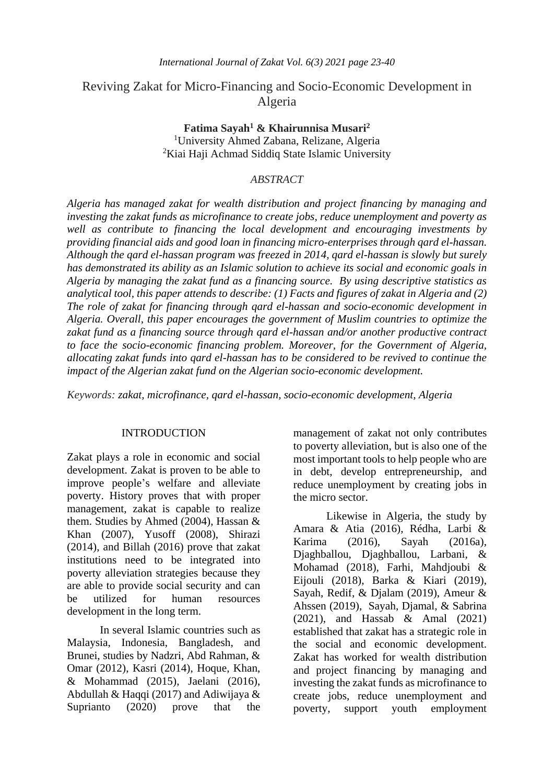# Reviving Zakat for Micro-Financing and Socio-Economic Development in Algeria

**Fatima Sayah<sup>1</sup> & Khairunnisa Musari<sup>2</sup>** <sup>1</sup>University Ahmed Zabana, Relizane, Algeria <sup>2</sup>Kiai Haji Achmad Siddiq State Islamic University

# *ABSTRACT*

*Algeria has managed zakat for wealth distribution and project financing by managing and investing the zakat funds as microfinance to create jobs, reduce unemployment and poverty as well as contribute to financing the local development and encouraging investments by providing financial aids and good loan in financing micro-enterprises through qard el-hassan. Although the qard el-hassan program was freezed in 2014, qard el-hassan is slowly but surely has demonstrated its ability as an Islamic solution to achieve its social and economic goals in Algeria by managing the zakat fund as a financing source. By using descriptive statistics as analytical tool, this paper attends to describe: (1) Facts and figures of zakat in Algeria and (2) The role of zakat for financing through qard el-hassan and socio-economic development in Algeria. Overall, this paper encourages the government of Muslim countries to optimize the zakat fund as a financing source through qard el-hassan and/or another productive contract to face the socio-economic financing problem. Moreover, for the Government of Algeria, allocating zakat funds into qard el-hassan has to be considered to be revived to continue the impact of the Algerian zakat fund on the Algerian socio-economic development.*

*Keywords: zakat, microfinance, qard el-hassan, socio-economic development, Algeria*

### INTRODUCTION

Zakat plays a role in economic and social development. Zakat is proven to be able to improve people's welfare and alleviate poverty. History proves that with proper management, zakat is capable to realize them. Studies by Ahmed (2004), Hassan & Khan (2007), Yusoff (2008), Shirazi (2014), and Billah (2016) prove that zakat institutions need to be integrated into poverty alleviation strategies because they are able to provide social security and can be utilized for human resources development in the long term.

In several Islamic countries such as Malaysia, Indonesia, Bangladesh, and Brunei, studies by Nadzri, Abd Rahman, & Omar (2012), Kasri (2014), Hoque, Khan, & Mohammad (2015), Jaelani (2016), Abdullah & Haqqi (2017) and Adiwijaya & Suprianto (2020) prove that the management of zakat not only contributes to poverty alleviation, but is also one of the most important tools to help people who are in debt, develop entrepreneurship, and reduce unemployment by creating jobs in the micro sector.

Likewise in Algeria, the study by Amara & Atia (2016), Rédha, Larbi & Karima (2016), Sayah (2016a), Djaghballou, Djaghballou, Larbani, & Mohamad (2018), Farhi, Mahdjoubi & Eijouli (2018), Barka & Kiari (2019), Sayah, Redif, & Djalam (2019), Ameur & Ahssen (2019), Sayah, Djamal, & Sabrina (2021), and Hassab & Amal (2021) established that zakat has a strategic role in the social and economic development. Zakat has worked for wealth distribution and project financing by managing and investing the zakat funds as microfinance to create jobs, reduce unemployment and poverty, support youth employment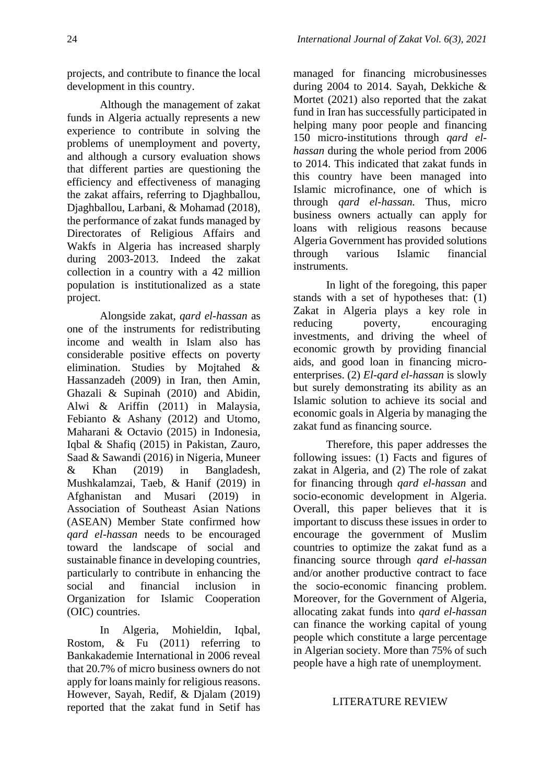projects, and contribute to finance the local development in this country.

Although the management of zakat funds in Algeria actually represents a new experience to contribute in solving the problems of unemployment and poverty, and although a cursory evaluation shows that different parties are questioning the efficiency and effectiveness of managing the zakat affairs, referring to Djaghballou, Djaghballou, Larbani, & Mohamad (2018), the performance of zakat funds managed by Directorates of Religious Affairs and Wakfs in Algeria has increased sharply during 2003-2013. Indeed the zakat collection in a country with a 42 million population is institutionalized as a state project.

Alongside zakat, *qard el-hassan* as one of the instruments for redistributing income and wealth in Islam also has considerable positive effects on poverty elimination. Studies by Mojtahed & Hassanzadeh (2009) in Iran, then Amin, Ghazali & Supinah (2010) and Abidin, Alwi & Ariffin (2011) in Malaysia, Febianto & Ashany (2012) and Utomo, Maharani & Octavio (2015) in Indonesia, Iqbal & Shafiq (2015) in Pakistan, Zauro, Saad & Sawandi (2016) in Nigeria, Muneer & Khan (2019) in Bangladesh, Mushkalamzai, Taeb, & Hanif (2019) in Afghanistan and Musari (2019) in Association of Southeast Asian Nations (ASEAN) Member State confirmed how *qard el-hassan* needs to be encouraged toward the landscape of social and sustainable finance in developing countries, particularly to contribute in enhancing the social and financial inclusion in Organization for Islamic Cooperation (OIC) countries.

In Algeria, Mohieldin, Iqbal, Rostom, & Fu (2011) referring to Bankakademie International in 2006 reveal that 20.7% of micro business owners do not apply for loans mainly for religious reasons. However, Sayah, Redif, & Djalam (2019) reported that the zakat fund in Setif has

managed for financing microbusinesses during 2004 to 2014. Sayah, Dekkiche & Mortet (2021) also reported that the zakat fund in Iran has successfully participated in helping many poor people and financing 150 micro-institutions through *qard elhassan* during the whole period from 2006 to 2014. This indicated that zakat funds in this country have been managed into Islamic microfinance, one of which is through *qard el-hassan.* Thus, micro business owners actually can apply for loans with religious reasons because Algeria Government has provided solutions through various Islamic financial instruments.

In light of the foregoing, this paper stands with a set of hypotheses that: (1) Zakat in Algeria plays a key role in reducing poverty, encouraging investments, and driving the wheel of economic growth by providing financial aids, and good loan in financing microenterprises. (2) *El-qard el-hassan* is slowly but surely demonstrating its ability as an Islamic solution to achieve its social and economic goals in Algeria by managing the zakat fund as financing source.

Therefore, this paper addresses the following issues: (1) Facts and figures of zakat in Algeria, and (2) The role of zakat for financing through *qard el-hassan* and socio-economic development in Algeria. Overall, this paper believes that it is important to discuss these issues in order to encourage the government of Muslim countries to optimize the zakat fund as a financing source through *qard el-hassan*  and/or another productive contract to face the socio-economic financing problem. Moreover, for the Government of Algeria, allocating zakat funds into *qard el-hassan* can finance the working capital of young people which constitute a large percentage in Algerian society. More than 75% of such people have a high rate of unemployment.

# LITERATURE REVIEW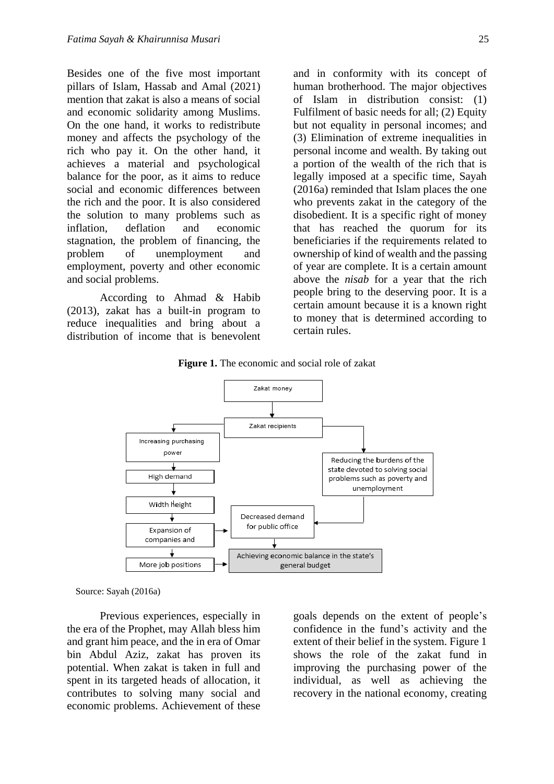Besides one of the five most important pillars of Islam, Hassab and Amal (2021) mention that zakat is also a means of social and economic solidarity among Muslims. On the one hand, it works to redistribute money and affects the psychology of the rich who pay it. On the other hand, it achieves a material and psychological balance for the poor, as it aims to reduce social and economic differences between the rich and the poor. It is also considered the solution to many problems such as inflation, deflation and economic stagnation, the problem of financing, the problem of unemployment and employment, poverty and other economic and social problems.

According to Ahmad & Habib (2013), zakat has a built-in program to reduce inequalities and bring about a distribution of income that is benevolent

and in conformity with its concept of human brotherhood. The major objectives of Islam in distribution consist: (1) Fulfilment of basic needs for all; (2) Equity but not equality in personal incomes; and (3) Elimination of extreme inequalities in personal income and wealth. By taking out a portion of the wealth of the rich that is legally imposed at a specific time, Sayah (2016a) reminded that Islam places the one who prevents zakat in the category of the disobedient. It is a specific right of money that has reached the quorum for its beneficiaries if the requirements related to ownership of kind of wealth and the passing of year are complete. It is a certain amount above the *nisab* for a year that the rich people bring to the deserving poor. It is a certain amount because it is a known right to money that is determined according to certain rules.

**Figure 1.** The economic and social role of zakat



Source: Sayah (2016a)

Previous experiences, especially in the era of the Prophet, may Allah bless him and grant him peace, and the in era of Omar bin Abdul Aziz, zakat has proven its potential. When zakat is taken in full and spent in its targeted heads of allocation, it contributes to solving many social and economic problems. Achievement of these

goals depends on the extent of people's confidence in the fund's activity and the extent of their belief in the system. Figure 1 shows the role of the zakat fund in improving the purchasing power of the individual, as well as achieving the recovery in the national economy, creating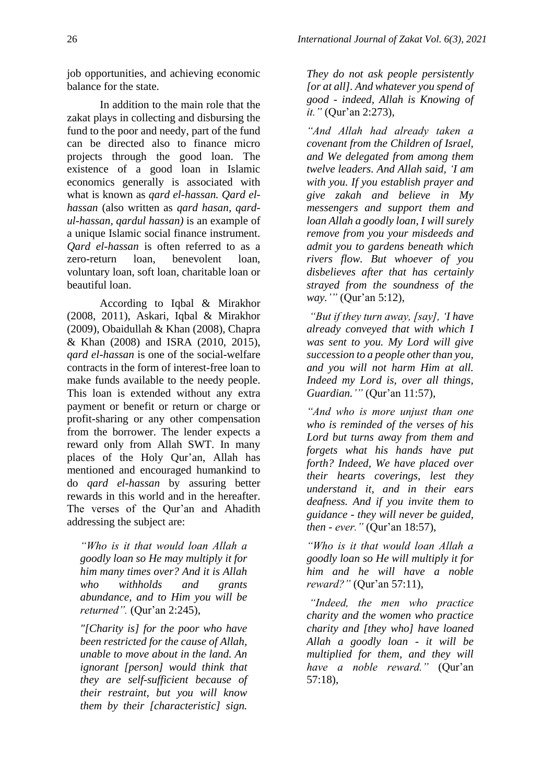job opportunities, and achieving economic balance for the state.

In addition to the main role that the zakat plays in collecting and disbursing the fund to the poor and needy, part of the fund can be directed also to finance micro projects through the good loan. The existence of a good loan in Islamic economics generally is associated with what is known as *qard el-hassan. Qard elhassan* (also written as *qard hasan, qardul-hassan, qardul hassan)* is an example of a unique Islamic social finance instrument. *Qard el-hassan* is often referred to as a zero-return loan, benevolent loan, voluntary loan, soft loan, charitable loan or beautiful loan.

According to Iqbal & Mirakhor (2008, 2011), Askari, Iqbal & Mirakhor (2009), Obaidullah & Khan (2008), Chapra & Khan (2008) and ISRA (2010, 2015), *qard el-hassan* is one of the social-welfare contracts in the form of interest-free loan to make funds available to the needy people. This loan is extended without any extra payment or benefit or return or charge or profit-sharing or any other compensation from the borrower. The lender expects a reward only from Allah SWT. In many places of the Holy Qur'an, Allah has mentioned and encouraged humankind to do *qard el-hassan* by assuring better rewards in this world and in the hereafter. The verses of the Qur'an and Ahadith addressing the subject are:

*"Who is it that would loan Allah a goodly loan so He may multiply it for him many times over? And it is Allah who withholds and grants abundance, and to Him you will be returned".* (Qur'an 2:245),

*"[Charity is] for the poor who have been restricted for the cause of Allah, unable to move about in the land. An ignorant [person] would think that they are self-sufficient because of their restraint, but you will know them by their [characteristic] sign.* 

*They do not ask people persistently [or at all]. And whatever you spend of good - indeed, Allah is Knowing of it."* (Qur'an 2:273),

*"And Allah had already taken a covenant from the Children of Israel, and We delegated from among them twelve leaders. And Allah said, 'I am with you. If you establish prayer and give zakah and believe in My messengers and support them and loan Allah a goodly loan, I will surely remove from you your misdeeds and admit you to gardens beneath which rivers flow. But whoever of you disbelieves after that has certainly strayed from the soundness of the way.'"* (Qur'an 5:12),

*"But if they turn away, [say], 'I have already conveyed that with which I was sent to you. My Lord will give succession to a people other than you, and you will not harm Him at all. Indeed my Lord is, over all things, Guardian.'"* (Qur'an 11:57),

*"And who is more unjust than one who is reminded of the verses of his Lord but turns away from them and forgets what his hands have put forth? Indeed, We have placed over their hearts coverings, lest they understand it, and in their ears deafness. And if you invite them to guidance - they will never be guided, then - ever."* (Qur'an 18:57),

*"Who is it that would loan Allah a goodly loan so He will multiply it for him and he will have a noble reward?"* (Qur'an 57:11),

*"Indeed, the men who practice charity and the women who practice charity and [they who] have loaned Allah a goodly loan - it will be multiplied for them, and they will have a noble reward."* (Qur'an 57:18),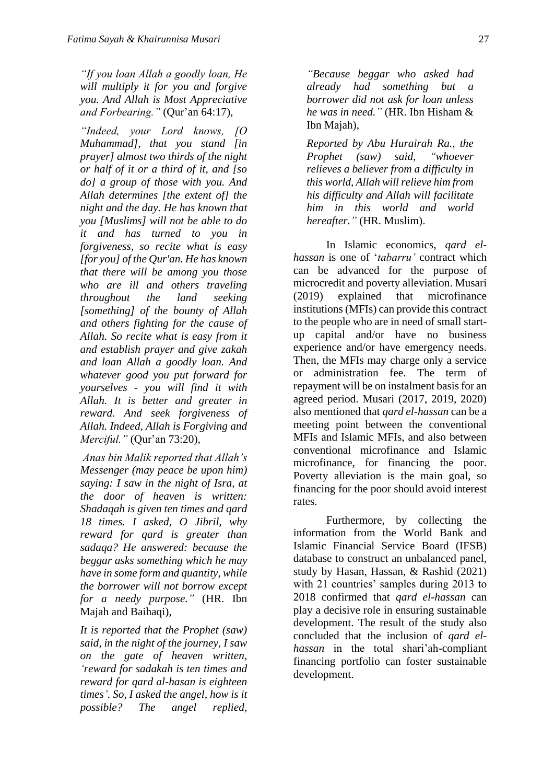*"If you loan Allah a goodly loan, He will multiply it for you and forgive you. And Allah is Most Appreciative and Forbearing."* (Qur'an 64:17),

*"Indeed, your Lord knows, [O Muhammad], that you stand [in prayer] almost two thirds of the night or half of it or a third of it, and [so do] a group of those with you. And Allah determines [the extent of] the night and the day. He has known that you [Muslims] will not be able to do it and has turned to you in forgiveness, so recite what is easy [for you] of the Qur'an. He has known that there will be among you those who are ill and others traveling throughout the land seeking [something] of the bounty of Allah and others fighting for the cause of Allah. So recite what is easy from it and establish prayer and give zakah and loan Allah a goodly loan. And whatever good you put forward for yourselves - you will find it with Allah. It is better and greater in reward. And seek forgiveness of Allah. Indeed, Allah is Forgiving and Merciful."* (Qur'an 73:20),

*Anas bin Malik reported that Allah's Messenger (may peace be upon him) saying: I saw in the night of Isra, at the door of heaven is written: Shadaqah is given ten times and qard 18 times. I asked, O Jibril, why reward for qard is greater than sadaqa? He answered: because the beggar asks something which he may have in some form and quantity, while the borrower will not borrow except for a needy purpose."* (HR. Ibn Majah and Baihaqi),

*It is reported that the Prophet (saw) said, in the night of the journey, I saw on the gate of heaven written, 'reward for sadakah is ten times and reward for qard al-hasan is eighteen times'. So, I asked the angel, how is it possible? The angel replied,* 

*"Because beggar who asked had already had something but a borrower did not ask for loan unless he was in need."* (HR. Ibn Hisham & Ibn Majah),

*Reported by Abu Hurairah Ra., the Prophet (saw) said, "whoever relieves a believer from a difficulty in this world, Allah will relieve him from his difficulty and Allah will facilitate him in this world and world hereafter."* (HR. Muslim).

In Islamic economics, *qard elhassan* is one of '*tabarru'* contract which can be advanced for the purpose of microcredit and poverty alleviation. Musari (2019) explained that microfinance institutions (MFIs) can provide this contract to the people who are in need of small startup capital and/or have no business experience and/or have emergency needs. Then, the MFIs may charge only a service or administration fee. The term of repayment will be on instalment basis for an agreed period. Musari (2017, 2019, 2020) also mentioned that *qard el-hassan* can be a meeting point between the conventional MFIs and Islamic MFIs, and also between conventional microfinance and Islamic microfinance, for financing the poor. Poverty alleviation is the main goal, so financing for the poor should avoid interest rates.

Furthermore, by collecting the information from the World Bank and Islamic Financial Service Board (IFSB) database to construct an unbalanced panel, study by Hasan, Hassan, & Rashid (2021) with 21 countries' samples during 2013 to 2018 confirmed that *qard el-hassan* can play a decisive role in ensuring sustainable development. The result of the study also concluded that the inclusion of *qard elhassan* in the total shari'ah-compliant financing portfolio can foster sustainable development.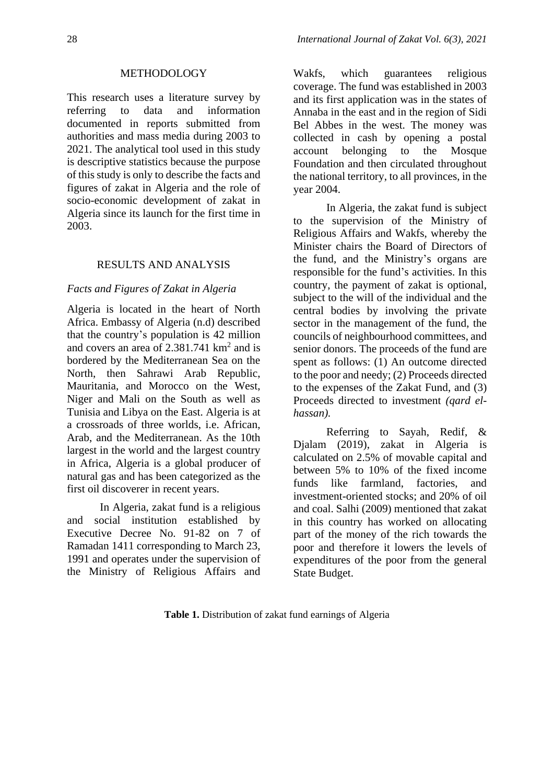### METHODOLOGY

This research uses a literature survey by referring to data and information documented in reports submitted from authorities and mass media during 2003 to 2021. The analytical tool used in this study is descriptive statistics because the purpose of this study is only to describe the facts and figures of zakat in Algeria and the role of socio-economic development of zakat in Algeria since its launch for the first time in 2003.

### RESULTS AND ANALYSIS

### *Facts and Figures of Zakat in Algeria*

Algeria is located in the heart of North Africa. Embassy of Algeria (n.d) described that the country's population is 42 million and covers an area of  $2.381.741 \text{ km}^2$  and is bordered by the Mediterranean Sea on the North, then Sahrawi Arab Republic, Mauritania, and Morocco on the West, Niger and Mali on the South as well as Tunisia and Libya on the East. Algeria is at a crossroads of three worlds, i.e. African, Arab, and the Mediterranean. As the 10th largest in the world and the largest country in Africa, Algeria is a global producer of natural gas and has been categorized as the first oil discoverer in recent years.

In Algeria, zakat fund is a religious and social institution established by Executive Decree No. 91-82 on 7 of Ramadan 1411 corresponding to March 23, 1991 and operates under the supervision of the Ministry of Religious Affairs and

Wakfs, which guarantees religious coverage. The fund was established in 2003 and its first application was in the states of Annaba in the east and in the region of Sidi Bel Abbes in the west. The money was collected in cash by opening a postal account belonging to the Mosque Foundation and then circulated throughout the national territory, to all provinces, in the year 2004.

In Algeria, the zakat fund is subject to the supervision of the Ministry of Religious Affairs and Wakfs, whereby the Minister chairs the Board of Directors of the fund, and the Ministry's organs are responsible for the fund's activities. In this country, the payment of zakat is optional, subject to the will of the individual and the central bodies by involving the private sector in the management of the fund, the councils of neighbourhood committees, and senior donors. The proceeds of the fund are spent as follows: (1) An outcome directed to the poor and needy; (2) Proceeds directed to the expenses of the Zakat Fund, and (3) Proceeds directed to investment *(qard elhassan).* 

Referring to Sayah, Redif, & Djalam (2019), zakat in Algeria is calculated on 2.5% of movable capital and between 5% to 10% of the fixed income funds like farmland, factories, and investment-oriented stocks; and 20% of oil and coal. Salhi (2009) mentioned that zakat in this country has worked on allocating part of the money of the rich towards the poor and therefore it lowers the levels of expenditures of the poor from the general State Budget.

**Table 1.** Distribution of zakat fund earnings of Algeria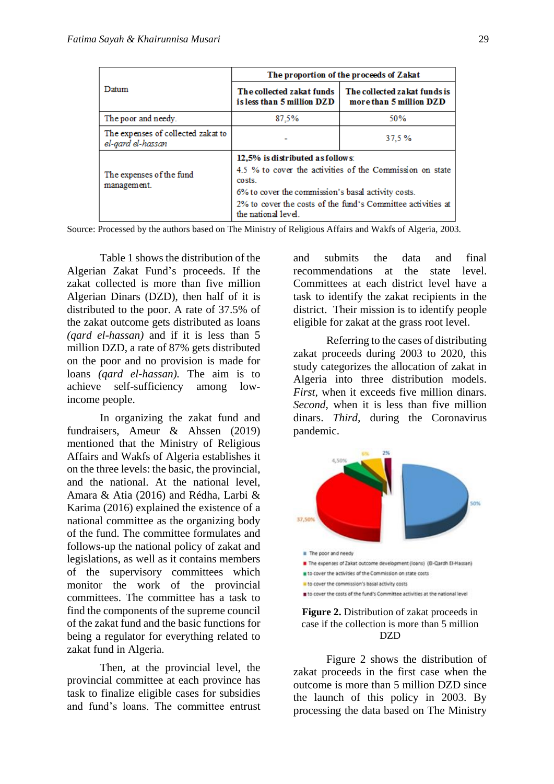|                                                         | The proportion of the proceeds of Zakat                                                                                                                                                                                                            |                                                         |  |  |
|---------------------------------------------------------|----------------------------------------------------------------------------------------------------------------------------------------------------------------------------------------------------------------------------------------------------|---------------------------------------------------------|--|--|
| Datum                                                   | The collected zakat funds<br>is less than 5 million DZD                                                                                                                                                                                            | The collected zakat funds is<br>more than 5 million DZD |  |  |
| The poor and needy.                                     | 87.5%                                                                                                                                                                                                                                              | 50%                                                     |  |  |
| The expenses of collected zakat to<br>el-gard el-hassan |                                                                                                                                                                                                                                                    | 37.5%                                                   |  |  |
| The expenses of the fund<br>management.                 | 12,5% is distributed as follows:<br>4.5 % to cover the activities of the Commission on state<br>costs.<br>6% to cover the commission's basal activity costs.<br>2% to cover the costs of the fund's Committee activities at<br>the national level. |                                                         |  |  |

Source: Processed by the authors based on The Ministry of Religious Affairs and Wakfs of Algeria, 2003.

Table 1 shows the distribution of the Algerian Zakat Fund's proceeds. If the zakat collected is more than five million Algerian Dinars (DZD), then half of it is distributed to the poor. A rate of 37.5% of the zakat outcome gets distributed as loans *(qard el-hassan)* and if it is less than 5 million DZD, a rate of 87% gets distributed on the poor and no provision is made for loans *(qard el-hassan).* The aim is to achieve self-sufficiency among lowincome people.

In organizing the zakat fund and fundraisers, Ameur & Ahssen (2019) mentioned that the Ministry of Religious Affairs and Wakfs of Algeria establishes it on the three levels: the basic, the provincial, and the national. At the national level, Amara & Atia (2016) and Rédha, Larbi & Karima (2016) explained the existence of a national committee as the organizing body of the fund. The committee formulates and follows-up the national policy of zakat and legislations, as well as it contains members of the supervisory committees which monitor the work of the provincial committees. The committee has a task to find the components of the supreme council of the zakat fund and the basic functions for being a regulator for everything related to zakat fund in Algeria.

Then, at the provincial level, the provincial committee at each province has task to finalize eligible cases for subsidies and fund's loans. The committee entrust and submits the data and final recommendations at the state level. Committees at each district level have a task to identify the zakat recipients in the district. Their mission is to identify people eligible for zakat at the grass root level.

Referring to the cases of distributing zakat proceeds during 2003 to 2020, this study categorizes the allocation of zakat in Algeria into three distribution models. *First,* when it exceeds five million dinars. *Second,* when it is less than five million dinars. *Third,* during the Coronavirus pandemic.



### **Figure 2.** Distribution of zakat proceeds in case if the collection is more than 5 million DZD

Figure 2 shows the distribution of zakat proceeds in the first case when the outcome is more than 5 million DZD since the launch of this policy in 2003. By processing the data based on The Ministry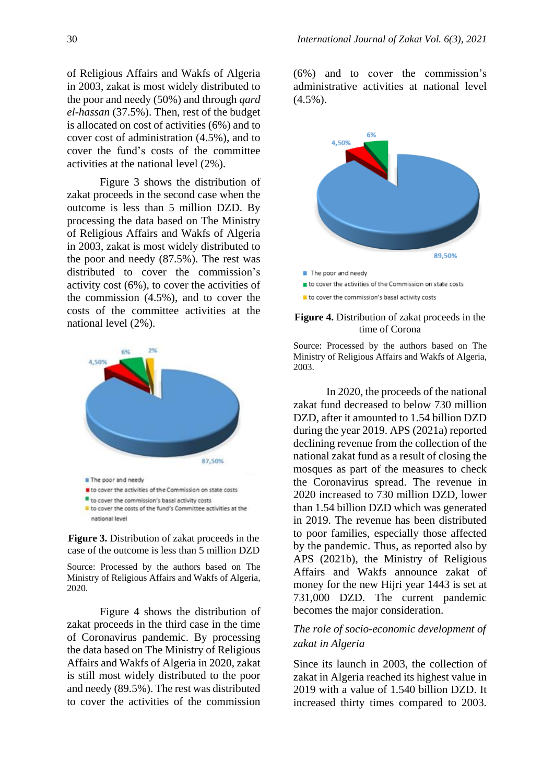of Religious Affairs and Wakfs of Algeria in 2003, zakat is most widely distributed to the poor and needy (50%) and through *qard el-hassan* (37.5%). Then, rest of the budget is allocated on cost of activities (6%) and to cover cost of administration (4.5%), and to cover the fund's costs of the committee activities at the national level (2%).

Figure 3 shows the distribution of zakat proceeds in the second case when the outcome is less than 5 million DZD. By processing the data based on The Ministry of Religious Affairs and Wakfs of Algeria in 2003, zakat is most widely distributed to the poor and needy (87.5%). The rest was distributed to cover the commission's activity cost (6%), to cover the activities of the commission (4.5%), and to cover the costs of the committee activities at the national level (2%).



**Figure 3.** Distribution of zakat proceeds in the case of the outcome is less than 5 million DZD

Source: Processed by the authors based on The Ministry of Religious Affairs and Wakfs of Algeria, 2020.

Figure 4 shows the distribution of zakat proceeds in the third case in the time of Coronavirus pandemic. By processing the data based on The Ministry of Religious Affairs and Wakfs of Algeria in 2020, zakat is still most widely distributed to the poor and needy (89.5%). The rest was distributed to cover the activities of the commission

(6%) and to cover the commission's administrative activities at national level  $(4.5\%)$ .



to cover the activities of the Commission on state costs

to cover the commission's basal activity costs

#### **Figure 4.** Distribution of zakat proceeds in the time of Corona

Source: Processed by the authors based on The Ministry of Religious Affairs and Wakfs of Algeria, 2003.

In 2020, the proceeds of the national zakat fund decreased to below 730 million DZD, after it amounted to 1.54 billion DZD during the year 2019. APS (2021a) reported declining revenue from the collection of the national zakat fund as a result of closing the mosques as part of the measures to check the Coronavirus spread. The revenue in 2020 increased to 730 million DZD, lower than 1.54 billion DZD which was generated in 2019. The revenue has been distributed to poor families, especially those affected by the pandemic. Thus, as reported also by APS (2021b), the Ministry of Religious Affairs and Wakfs announce zakat of money for the new Hijri year 1443 is set at 731,000 DZD. The current pandemic becomes the major consideration.

# *The role of socio-economic development of zakat in Algeria*

Since its launch in 2003, the collection of zakat in Algeria reached its highest value in 2019 with a value of 1.540 billion DZD. It increased thirty times compared to 2003.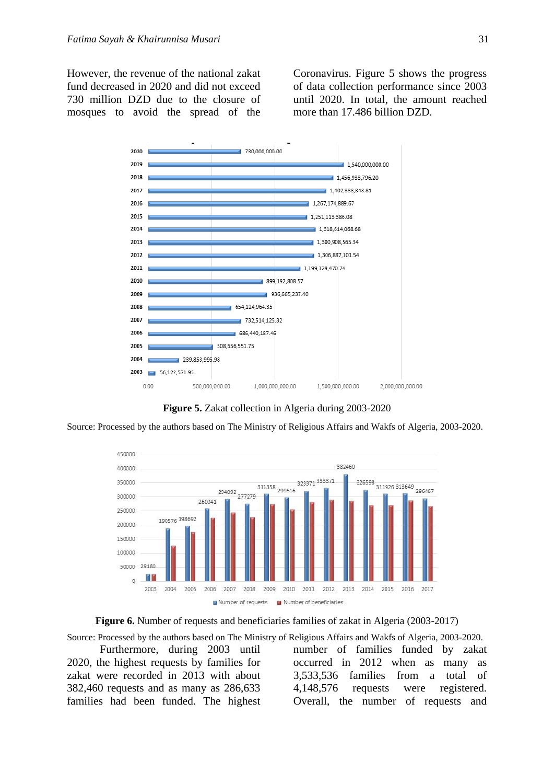However, the revenue of the national zakat fund decreased in 2020 and did not exceed 730 million DZD due to the closure of mosques to avoid the spread of the Coronavirus. Figure 5 shows the progress of data collection performance since 2003 until 2020. In total, the amount reached more than 17.486 billion DZD.



**Figure 5.** Zakat collection in Algeria during 2003-2020

Source: Processed by the authors based on The Ministry of Religious Affairs and Wakfs of Algeria, 2003-2020.



**Figure 6.** Number of requests and beneficiaries families of zakat in Algeria (2003-2017)

Source: Processed by the authors based on The Ministry of Religious Affairs and Wakfs of Algeria, 2003-2020.

Furthermore, during 2003 until 2020, the highest requests by families for zakat were recorded in 2013 with about 382,460 requests and as many as 286,633 families had been funded. The highest number of families funded by zakat occurred in 2012 when as many as 3,533,536 families from a total of 4,148,576 requests were registered. Overall, the number of requests and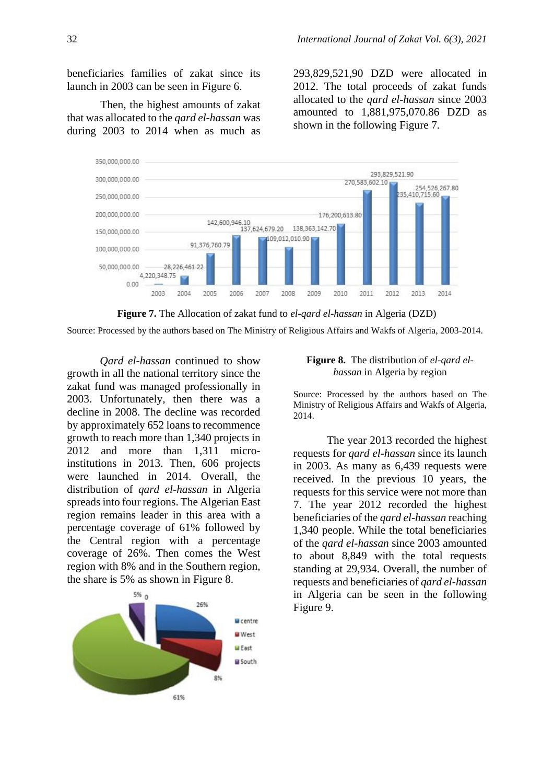beneficiaries families of zakat since its launch in 2003 can be seen in Figure 6.

Then, the highest amounts of zakat that was allocated to the *qard el-hassan* was during 2003 to 2014 when as much as 293,829,521,90 DZD were allocated in 2012. The total proceeds of zakat funds allocated to the *qard el-hassan* since 2003 amounted to 1,881,975,070.86 DZD as shown in the following Figure 7.



**Figure 7.** The Allocation of zakat fund to *el-qard el-hassan* in Algeria (DZD)

Source: Processed by the authors based on The Ministry of Religious Affairs and Wakfs of Algeria, 2003-2014.

*Qard el-hassan* continued to show growth in all the national territory since the zakat fund was managed professionally in 2003. Unfortunately, then there was a decline in 2008. The decline was recorded by approximately 652 loans to recommence growth to reach more than 1,340 projects in 2012 and more than 1,311 microinstitutions in 2013. Then, 606 projects were launched in 2014. Overall, the distribution of *qard el-hassan* in Algeria spreadsinto four regions. The Algerian East region remains leader in this area with a percentage coverage of 61% followed by the Central region with a percentage coverage of 26%. Then comes the West region with 8% and in the Southern region, the share is 5% as shown in Figure 8.



### **Figure 8.** The distribution of *el-qard elhassan* in Algeria by region

Source: Processed by the authors based on The Ministry of Religious Affairs and Wakfs of Algeria, 2014.

The year 2013 recorded the highest requests for *qard el-hassan* since its launch in 2003. As many as 6,439 requests were received. In the previous 10 years, the requests for this service were not more than 7. The year 2012 recorded the highest beneficiaries of the *qard el-hassan* reaching 1,340 people. While the total beneficiaries of the *qard el-hassan* since 2003 amounted to about 8,849 with the total requests standing at 29,934. Overall, the number of requests and beneficiaries of *qard el-hassan* in Algeria can be seen in the following Figure 9.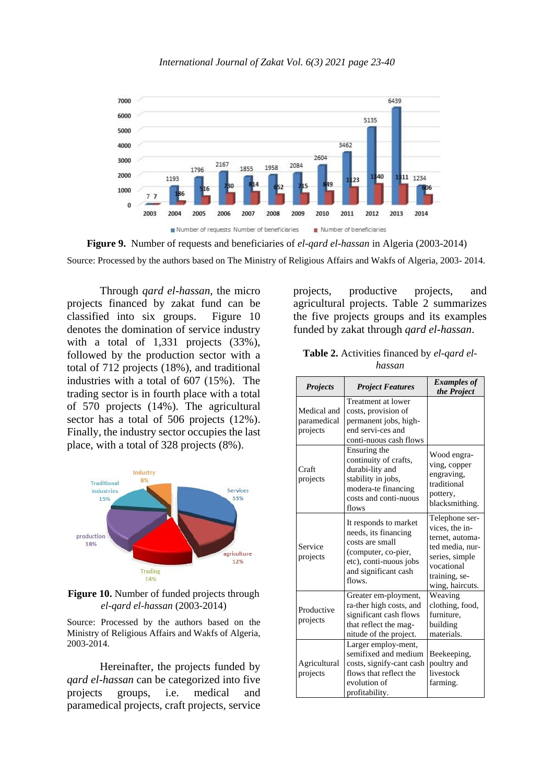

**Figure 9.** Number of requests and beneficiaries of *el-qard el-hassan* in Algeria (2003-2014) Source: Processed by the authors based on The Ministry of Religious Affairs and Wakfs of Algeria, 2003- 2014.

Through *qard el-hassan,* the micro projects financed by zakat fund can be classified into six groups. Figure 10 denotes the domination of service industry with a total of 1,331 projects (33%). followed by the production sector with a total of 712 projects (18%), and traditional industries with a total of 607 (15%). The trading sector is in fourth place with a total of 570 projects (14%). The agricultural sector has a total of 506 projects (12%). Finally, the industry sector occupies the last place, with a total of 328 projects (8%).



**Figure 10.** Number of funded projects through *el-qard el-hassan* (2003-2014)

Source: Processed by the authors based on the Ministry of Religious Affairs and Wakfs of Algeria, 2003-2014.

Hereinafter, the projects funded by *qard el-hassan* can be categorized into five projects groups, i.e. medical and paramedical projects, craft projects, service

projects, productive projects, and agricultural projects. Table 2 summarizes the five projects groups and its examples funded by zakat through *qard el-hassan*.

| <b>Table 2.</b> Activities financed by el-gard el- |        |  |  |
|----------------------------------------------------|--------|--|--|
|                                                    | hassan |  |  |

| <b>Projects</b>                        | <b>Project Features</b>                                                                                                                             | <b>Examples of</b><br>the Project                                                                                                          |
|----------------------------------------|-----------------------------------------------------------------------------------------------------------------------------------------------------|--------------------------------------------------------------------------------------------------------------------------------------------|
| Medical and<br>paramedical<br>projects | Treatment at lower<br>costs, provision of<br>permanent jobs, high-<br>end servi-ces and<br>conti-nuous cash flows                                   |                                                                                                                                            |
| Craft<br>projects                      | Ensuring the<br>continuity of crafts,<br>durabi-lity and<br>stability in jobs,<br>modera-te financing<br>costs and conti-nuous<br>flows             | Wood engra-<br>ving, copper<br>engraving,<br>traditional<br>pottery,<br>blacksmithing.                                                     |
| Service<br>projects                    | It responds to market<br>needs, its financing<br>costs are small<br>(computer, co-pier,<br>etc), conti-nuous jobs<br>and significant cash<br>flows. | Telephone ser-<br>vices, the in-<br>ternet, automa-<br>ted media, nur-<br>series, simple<br>vocational<br>training, se-<br>wing, haircuts. |
| Productive<br>projects                 | Greater em-ployment,<br>ra-ther high costs, and<br>significant cash flows<br>that reflect the mag-<br>nitude of the project.                        | Weaving<br>clothing, food,<br>furniture.<br>building<br>materials.                                                                         |
| Agricultural<br>projects               | Larger employ-ment,<br>semifixed and medium<br>costs, signify-cant cash<br>flows that reflect the<br>evolution of<br>profitability.                 | Beekeeping,<br>poultry and<br>livestock<br>farming.                                                                                        |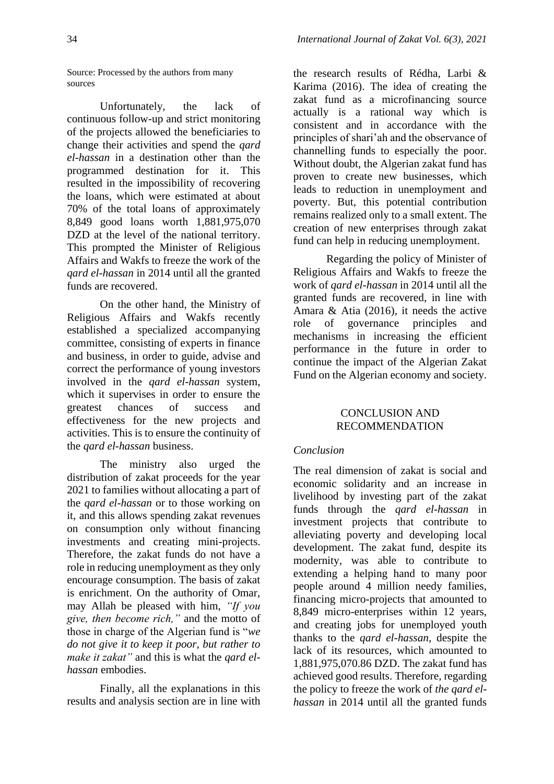Source: Processed by the authors from many sources

Unfortunately, the lack of continuous follow-up and strict monitoring of the projects allowed the beneficiaries to change their activities and spend the *qard el-hassan* in a destination other than the programmed destination for it. This resulted in the impossibility of recovering the loans, which were estimated at about 70% of the total loans of approximately 8,849 good loans worth 1,881,975,070 DZD at the level of the national territory. This prompted the Minister of Religious Affairs and Wakfs to freeze the work of the *qard el-hassan* in 2014 until all the granted funds are recovered.

On the other hand, the Ministry of Religious Affairs and Wakfs recently established a specialized accompanying committee, consisting of experts in finance and business, in order to guide, advise and correct the performance of young investors involved in the *qard el-hassan* system, which it supervises in order to ensure the greatest chances of success and effectiveness for the new projects and activities. This is to ensure the continuity of the *qard el-hassan* business.

The ministry also urged the distribution of zakat proceeds for the year 2021 to families without allocating a part of the *qard el-hassan* or to those working on it, and this allows spending zakat revenues on consumption only without financing investments and creating mini-projects. Therefore, the zakat funds do not have a role in reducing unemployment as they only encourage consumption. The basis of zakat is enrichment. On the authority of Omar, may Allah be pleased with him, *"If you give, then become rich,"* and the motto of those in charge of the Algerian fund is "*we do not give it to keep it poor, but rather to make it zakat"* and this is what the *qard elhassan* embodies.

Finally, all the explanations in this results and analysis section are in line with

the research results of Rédha, Larbi & Karima (2016). The idea of creating the zakat fund as a microfinancing source actually is a rational way which is consistent and in accordance with the principles of shari'ah and the observance of channelling funds to especially the poor. Without doubt, the Algerian zakat fund has proven to create new businesses, which leads to reduction in unemployment and poverty. But, this potential contribution remains realized only to a small extent. The creation of new enterprises through zakat fund can help in reducing unemployment.

Regarding the policy of Minister of Religious Affairs and Wakfs to freeze the work of *qard el-hassan* in 2014 until all the granted funds are recovered, in line with Amara & Atia (2016), it needs the active role of governance principles and mechanisms in increasing the efficient performance in the future in order to continue the impact of the Algerian Zakat Fund on the Algerian economy and society.

# CONCLUSION AND RECOMMENDATION

# *Conclusion*

The real dimension of zakat is social and economic solidarity and an increase in livelihood by investing part of the zakat funds through the *qard el-hassan* in investment projects that contribute to alleviating poverty and developing local development. The zakat fund, despite its modernity, was able to contribute to extending a helping hand to many poor people around 4 million needy families, financing micro-projects that amounted to 8,849 micro-enterprises within 12 years, and creating jobs for unemployed youth thanks to the *qard el-hassan*, despite the lack of its resources, which amounted to 1,881,975,070.86 DZD. The zakat fund has achieved good results. Therefore, regarding the policy to freeze the work of *the qard elhassan* in 2014 until all the granted funds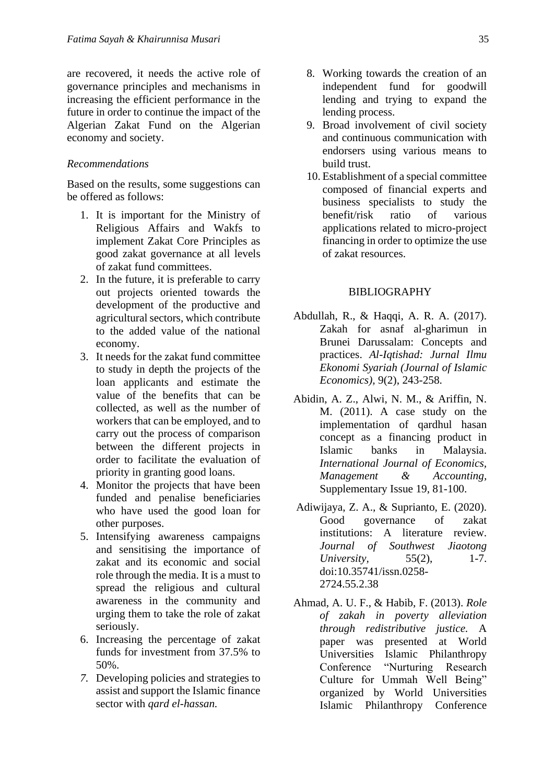are recovered, it needs the active role of governance principles and mechanisms in increasing the efficient performance in the future in order to continue the impact of the Algerian Zakat Fund on the Algerian economy and society.

### *Recommendations*

Based on the results, some suggestions can be offered as follows:

- 1. It is important for the Ministry of Religious Affairs and Wakfs to implement Zakat Core Principles as good zakat governance at all levels of zakat fund committees.
- 2. In the future, it is preferable to carry out projects oriented towards the development of the productive and agricultural sectors, which contribute to the added value of the national economy.
- 3. It needs for the zakat fund committee to study in depth the projects of the loan applicants and estimate the value of the benefits that can be collected, as well as the number of workers that can be employed, and to carry out the process of comparison between the different projects in order to facilitate the evaluation of priority in granting good loans.
- 4. Monitor the projects that have been funded and penalise beneficiaries who have used the good loan for other purposes.
- 5. Intensifying awareness campaigns and sensitising the importance of zakat and its economic and social role through the media. It is a must to spread the religious and cultural awareness in the community and urging them to take the role of zakat seriously.
- 6. Increasing the percentage of zakat funds for investment from 37.5% to 50%.
- *7.* Developing policies and strategies to assist and support the Islamic finance sector with *qard el-hassan.*
- 8. Working towards the creation of an independent fund for goodwill lending and trying to expand the lending process.
- 9. Broad involvement of civil society and continuous communication with endorsers using various means to build trust.
- 10. Establishment of a special committee composed of financial experts and business specialists to study the benefit/risk ratio of various applications related to micro-project financing in order to optimize the use of zakat resources.

## BIBLIOGRAPHY

- Abdullah, R., & Haqqi, A. R. A. (2017). Zakah for asnaf al-gharimun in Brunei Darussalam: Concepts and practices. *Al-Iqtishad: Jurnal Ilmu Ekonomi Syariah (Journal of Islamic Economics),* 9(2), 243-258.
- Abidin, A. Z., Alwi, N. M., & Ariffin, N. M. (2011). A case study on the implementation of qardhul hasan concept as a financing product in Islamic banks in Malaysia. *International Journal of Economics, Management & Accounting,*  Supplementary Issue 19, 81-100.
- Adiwijaya, Z. A., & Suprianto, E. (2020). Good governance of zakat institutions: A literature review. *Journal of Southwest Jiaotong University,* 55(2), 1-7. doi:10.35741/issn.0258- 2724.55.2.38
- Ahmad, A. U. F., & Habib, F. (2013). *Role of zakah in poverty alleviation through redistributive justice.* A paper was presented at World Universities Islamic Philanthropy Conference "Nurturing Research Culture for Ummah Well Being" organized by World Universities Islamic Philanthropy Conference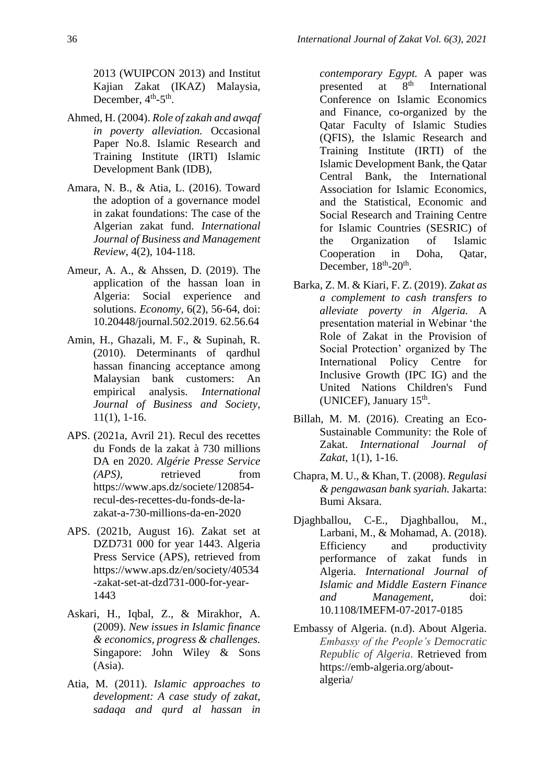2013 (WUIPCON 2013) and Institut Kajian Zakat (IKAZ) Malaysia, December,  $4<sup>th</sup> - 5<sup>th</sup>$ .

- Ahmed, H. (2004). *Role of zakah and awqaf in poverty alleviation.* Occasional Paper No.8. Islamic Research and Training Institute (IRTI) Islamic Development Bank (IDB),
- Amara, N. B., & Atia, L. (2016). Toward the adoption of a governance model in zakat foundations: The case of the Algerian zakat fund. *International Journal of Business and Management Review*, 4(2), 104-118.
- Ameur, A. A., & Ahssen, D. (2019). The application of the hassan loan in Algeria: Social experience and solutions. *Economy,* 6(2), 56-64, doi: 10.20448/journal.502.2019. 62.56.64
- Amin, H., Ghazali, M. F., & Supinah, R. (2010). Determinants of qardhul hassan financing acceptance among Malaysian bank customers: An empirical analysis. *International Journal of Business and Society,* 11(1), 1-16.
- APS. (2021a, Avril 21). Recul des recettes du Fonds de la zakat à 730 millions DA en 2020. *Algérie Presse Service (APS),* retrieved from [https://www.aps.dz/societe/120854](https://www.aps.dz/societe/120854-recul-des-recettes-du-fonds-de-la-zakat-a-730-millions-da-en-2020) [recul-des-recettes-du-fonds-de-la](https://www.aps.dz/societe/120854-recul-des-recettes-du-fonds-de-la-zakat-a-730-millions-da-en-2020)[zakat-a-730-millions-da-en-2020](https://www.aps.dz/societe/120854-recul-des-recettes-du-fonds-de-la-zakat-a-730-millions-da-en-2020)
- APS. (2021b, August 16). Zakat set at DZD731 000 for year 1443. Algeria Press Service (APS), retrieved from https://www.aps.dz/en/society/40534 -zakat-set-at-dzd731-000-for-year-1443
- Askari, H., Iqbal, Z., & Mirakhor, A. (2009). *New issues in Islamic finance & economics, progress & challenges.* Singapore: John Wiley & Sons (Asia).
- Atia, M. (2011). *Islamic approaches to development: A case study of zakat, sadaqa and qurd al hassan in*

*contemporary Egypt.* A paper was presented at  $8<sup>th</sup>$  International Conference on Islamic Economics and Finance, co-organized by the Qatar Faculty of Islamic Studies (QFIS), the Islamic Research and Training Institute (IRTI) of the Islamic Development Bank, the Qatar Central Bank, the International Association for Islamic Economics, and the Statistical, Economic and Social Research and Training Centre for Islamic Countries (SESRIC) of the Organization of Islamic Cooperation in Doha, Qatar, December,  $18^{\text{th}}$ -20<sup>th</sup>.

- Barka, Z. M. & Kiari, F. Z. (2019). *Zakat as a complement to cash transfers to alleviate poverty in Algeria.* A presentation material in Webinar 'the Role of Zakat in the Provision of Social Protection' organized by The International Policy Centre for Inclusive Growth (IPC IG) and the United Nations Children's Fund (UNICEF), January 15<sup>th</sup>.
- Billah, M. M. (2016). Creating an Eco-Sustainable Community: the Role of Zakat. *International Journal of Zakat,* 1(1), 1-16.
- Chapra, M. U., & Khan, T. (2008). *Regulasi & pengawasan bank syariah.* Jakarta: Bumi Aksara.
- Djaghballou, C-E., Djaghballou, M., Larbani, M., & Mohamad, A. (2018). Efficiency and productivity performance of zakat funds in Algeria. *International Journal of Islamic and Middle Eastern Finance and Management*, doi: 10.1108/IMEFM-07-2017-0185
- Embassy of Algeria. (n.d). About Algeria. *Embassy of the People's Democratic Republic of Algeria*. Retrieved from https://emb-algeria.org/aboutalgeria/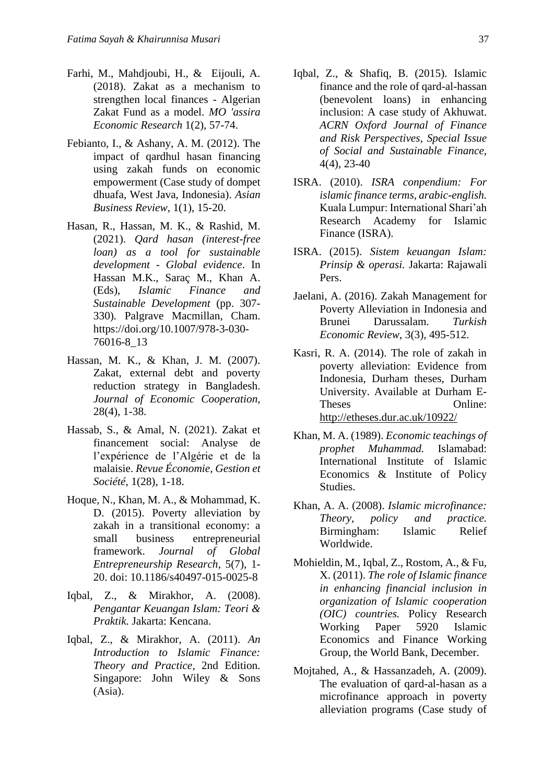- Farhi, M., Mahdjoubi, H., & Eijouli, A. (2018). Zakat as a mechanism to strengthen local finances - Algerian Zakat Fund as a model. *MO 'assira Economic Research* 1(2), 57-74.
- Febianto, I., & Ashany, A. M. (2012). The impact of qardhul hasan financing using zakah funds on economic empowerment (Case study of dompet dhuafa, West Java, Indonesia). *Asian Business Review,* 1(1), 15-20.
- Hasan, R., Hassan, M. K., & Rashid, M. (2021). *Qard hasan (interest-free loan) as a tool for sustainable development - Global evidence*. In Hassan M.K., Saraç M., Khan A. (Eds), *Islamic Finance and Sustainable Development* (pp. 307- 330)*.* Palgrave Macmillan, Cham. https://doi.org/10.1007/978-3-030- 76016-8\_13
- Hassan, M. K., & Khan, J. M. (2007). Zakat, external debt and poverty reduction strategy in Bangladesh. *Journal of Economic Cooperation,* 28(4), 1-38.
- Hassab, S., & Amal, N. (2021). Zakat et financement social: Analyse de l'expérience de l'Algérie et de la malaisie. *Revue Économie, Gestion et Société*, 1(28), 1-18.
- Hoque, N., Khan, M. A., & Mohammad, K. D. (2015). Poverty alleviation by zakah in a transitional economy: a small business entrepreneurial framework. *Journal of Global Entrepreneurship Research*, 5(7), 1- 20. doi: 10.1186/s40497-015-0025-8
- Iqbal, Z., & Mirakhor, A. (2008). *Pengantar Keuangan Islam: Teori & Praktik.* Jakarta: Kencana.
- Iqbal, Z., & Mirakhor, A. (2011). *An Introduction to Islamic Finance: Theory and Practice,* 2nd Edition. Singapore: John Wiley & Sons (Asia).
- Iqbal, Z., & Shafiq, B. (2015). Islamic finance and the role of qard-al-hassan (benevolent loans) in enhancing inclusion: A case study of Akhuwat. *ACRN Oxford Journal of Finance and Risk Perspectives, Special Issue of Social and Sustainable Finance,* 4(4), 23-40
- ISRA. (2010). *ISRA conpendium: For islamic finance terms, arabic-english.* Kuala Lumpur: International Shari'ah Research Academy for Islamic Finance (ISRA).
- ISRA. (2015). *Sistem keuangan Islam: Prinsip & operasi.* Jakarta: Rajawali Pers.
- Jaelani, A. (2016). Zakah Management for Poverty Alleviation in Indonesia and Brunei Darussalam. *Turkish Economic Review*, 3(3), 495-512.
- Kasri, R. A. (2014). The role of zakah in poverty alleviation: Evidence from Indonesia, Durham theses, Durham University. Available at Durham E-Theses Online: <http://etheses.dur.ac.uk/10922/>
- Khan, M. A. (1989). *Economic teachings of prophet Muhammad.* Islamabad: International Institute of Islamic Economics & Institute of Policy Studies.
- Khan, A. A. (2008). *Islamic microfinance: Theory, policy and practice.* Birmingham: Islamic Relief Worldwide.
- Mohieldin, M., Iqbal, Z., Rostom, A., & Fu, X. (2011). *The role of Islamic finance in enhancing financial inclusion in organization of Islamic cooperation (OIC) countries.* Policy Research Working Paper 5920 Islamic Economics and Finance Working Group, the World Bank, December.
- Mojtahed, A., & Hassanzadeh, A. (2009). The evaluation of qard-al-hasan as a microfinance approach in poverty alleviation programs (Case study of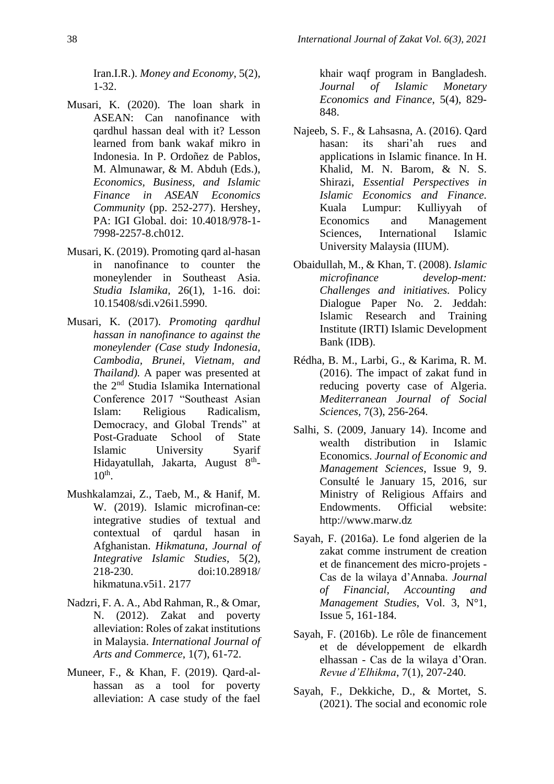Iran.I.R.). *Money and Economy*, 5(2), 1-32.

- Musari, K. (2020). The loan shark in ASEAN: Can nanofinance with qardhul hassan deal with it? Lesson learned from bank wakaf mikro in Indonesia. In P. Ordoñez de Pablos, M. Almunawar, & M. Abduh (Eds.), *Economics, Business, and Islamic Finance in ASEAN Economics Community* (pp. 252-277). Hershey, PA: IGI Global. doi: 10.4018/978-1- 7998-2257-8.ch012.
- Musari, K. (2019). Promoting qard al-hasan in nanofinance to counter the moneylender in Southeast Asia. *Studia Islamika,* 26(1), 1-16. doi: 10.15408/sdi.v26i1.5990.
- Musari, K. (2017). *Promoting qardhul hassan in nanofinance to against the moneylender (Case study Indonesia, Cambodia, Brunei, Vietnam, and Thailand*). A paper was presented at the 2nd Studia Islamika International Conference 2017 "Southeast Asian Islam: Religious Radicalism, Democracy, and Global Trends" at Post-Graduate School of State Islamic University Syarif Hidayatullah, Jakarta, August 8<sup>th</sup>- $10<sup>th</sup>$ .
- Mushkalamzai, Z., Taeb, M., & Hanif, M. W. (2019). Islamic microfinan-ce: integrative studies of textual and contextual of qardul hasan in Afghanistan. *Hikmatuna, Journal of Integrative Islamic Studies*, 5(2), 218-230. doi:10.28918/ hikmatuna.v5i1. 2177
- Nadzri, F. A. A., Abd Rahman, R., & Omar, N. (2012). Zakat and poverty alleviation: Roles of zakat institutions in Malaysia. *International Journal of Arts and Commerce*, 1(7), 61-72.
- Muneer, F., & Khan, F. (2019). Qard-alhassan as a tool for poverty alleviation: A case study of the fael

khair waqf program in Bangladesh. *Journal of Islamic Monetary Economics and Finance*, 5(4), 829- 848.

- Najeeb, S. F., & Lahsasna, A. (2016). Qard hasan: its shari'ah rues and applications in Islamic finance. In H. Khalid, M. N. Barom, & N. S. Shirazi, *Essential Perspectives in Islamic Economics and Finance.* Kuala Lumpur: Kulliyyah of Economics and Management Sciences, International Islamic University Malaysia (IIUM).
- Obaidullah, M., & Khan, T. (2008). *Islamic microfinance develop-ment: Challenges and initiatives.* Policy Dialogue Paper No. 2. Jeddah: Islamic Research and Training Institute (IRTI) Islamic Development Bank (IDB).
- Rédha, B. M., Larbi, G., & Karima, R. M. (2016). The impact of zakat fund in reducing poverty case of Algeria. *Mediterranean Journal of Social Sciences,* 7(3), 256-264.
- Salhi, S. (2009, January 14). Income and wealth distribution in Islamic Economics. *Journal of Economic and Management Sciences*, Issue 9, 9. Consulté le January 15, 2016, sur Ministry of Religious Affairs and Endowments. Official website: http://www.marw.dz
- Sayah, F. (2016a). Le fond algerien de la zakat comme instrument de creation et de financement des micro-projets - Cas de la wilaya d'Annaba. *Journal of Financial, Accounting and Management Studies*, Vol. 3, N°1, Issue 5, 161-184.
- Sayah, F. (2016b). Le rôle de financement et de développement de elkardh elhassan - Cas de la wilaya d'Oran. *Revue d'Elhikma*, 7(1), 207-240.
- Sayah, F., Dekkiche, D., & Mortet, S. (2021). The social and economic role